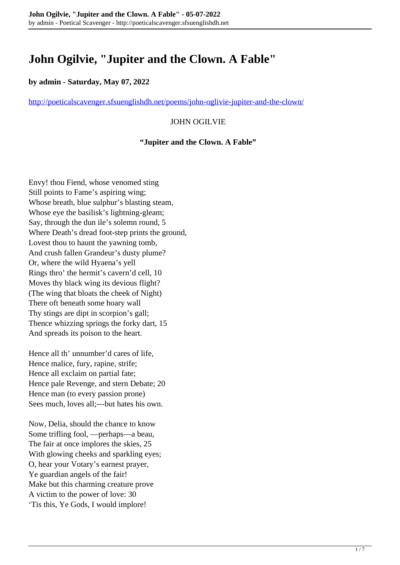# **John Ogilvie, "Jupiter and the Clown. A Fable"**

#### **by admin - Saturday, May 07, 2022**

<http://poeticalscavenger.sfsuenglishdh.net/poems/john-oglivie-jupiter-and-the-clown/>

## JOHN OGILVIE

#### **"Jupiter and the Clown. A Fable"**

Envy! thou Fiend, whose venomed sting Still points to Fame's aspiring wing; Whose breath, blue sulphur's blasting steam, Whose eye the basilisk's lightning-gleam; Say, through the dun ile's solemn round, 5 Where Death's dread foot-step prints the ground, Lovest thou to haunt the yawning tomb, And crush fallen Grandeur's dusty plume? Or, where the wild Hyaena's yell Rings thro' the hermit's cavern'd cell, 10 Moves thy black wing its devious flight? (The wing that bloats the cheek of Night) There oft beneath some hoary wall Thy stings are dipt in scorpion's gall; Thence whizzing springs the forky dart, 15 And spreads its poison to the heart.

Hence all th' unnumber'd cares of life, Hence malice, fury, rapine, strife; Hence all exclaim on partial fate; Hence pale Revenge, and stern Debate; 20 Hence man (to every passion prone) Sees much, loves all;---but hates his own.

Now, Delia, should the chance to know Some trifling fool, —perhaps—a beau, The fair at once implores the skies, 25 With glowing cheeks and sparkling eyes; O, hear your Votary's earnest prayer, Ye guardian angels of the fair! Make but this charming creature prove A victim to the power of love: 30 'Tis this, Ye Gods, I would implore!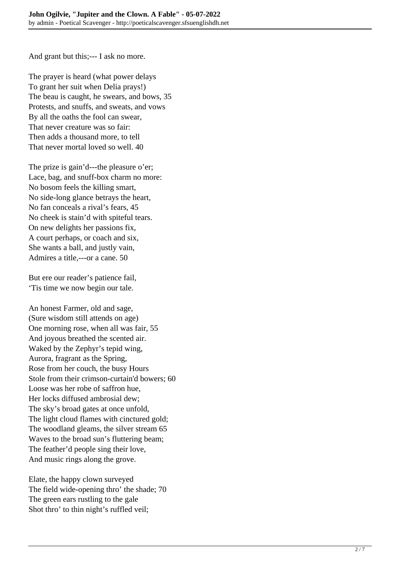And grant but this;--- I ask no more.

The prayer is heard (what power delays To grant her suit when Delia prays!) The beau is caught, he swears, and bows, 35 Protests, and snuffs, and sweats, and vows By all the oaths the fool can swear, That never creature was so fair: Then adds a thousand more, to tell That never mortal loved so well. 40

The prize is gain'd---the pleasure o'er; Lace, bag, and snuff-box charm no more: No bosom feels the killing smart, No side-long glance betrays the heart, No fan conceals a rival's fears, 45 No cheek is stain'd with spiteful tears. On new delights her passions fix, A court perhaps, or coach and six, She wants a ball, and justly vain, Admires a title,---or a cane. 50

But ere our reader's patience fail, 'Tis time we now begin our tale.

An honest Farmer, old and sage, (Sure wisdom still attends on age) One morning rose, when all was fair, 55 And joyous breathed the scented air. Waked by the Zephyr's tepid wing, Aurora, fragrant as the Spring, Rose from her couch, the busy Hours Stole from their crimson-curtain'd bowers; 60 Loose was her robe of saffron hue, Her locks diffused ambrosial dew; The sky's broad gates at once unfold, The light cloud flames with cinctured gold; The woodland gleams, the silver stream 65 Waves to the broad sun's fluttering beam; The feather'd people sing their love, And music rings along the grove.

Elate, the happy clown surveyed The field wide-opening thro' the shade; 70 The green ears rustling to the gale Shot thro' to thin night's ruffled veil;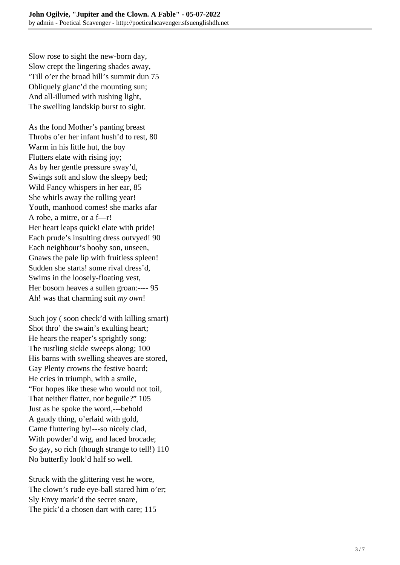Slow rose to sight the new-born day, Slow crept the lingering shades away, 'Till o'er the broad hill's summit dun 75 Obliquely glanc'd the mounting sun; And all-illumed with rushing light, The swelling landskip burst to sight.

As the fond Mother's panting breast Throbs o'er her infant hush'd to rest, 80 Warm in his little hut, the boy Flutters elate with rising joy; As by her gentle pressure sway'd, Swings soft and slow the sleepy bed; Wild Fancy whispers in her ear, 85 She whirls away the rolling year! Youth, manhood comes! she marks afar A robe, a mitre, or a f—r! Her heart leaps quick! elate with pride! Each prude's insulting dress outvyed! 90 Each neighbour's booby son, unseen, Gnaws the pale lip with fruitless spleen! Sudden she starts! some rival dress'd, Swims in the loosely-floating vest, Her bosom heaves a sullen groan:---- 95 Ah! was that charming suit *my own*!

Such joy (soon check'd with killing smart) Shot thro' the swain's exulting heart; He hears the reaper's sprightly song: The rustling sickle sweeps along; 100 His barns with swelling sheaves are stored, Gay Plenty crowns the festive board; He cries in triumph, with a smile, "For hopes like these who would not toil, That neither flatter, nor beguile?" 105 Just as he spoke the word,---behold A gaudy thing, o'erlaid with gold, Came fluttering by!---so nicely clad, With powder'd wig, and laced brocade; So gay, so rich (though strange to tell!) 110 No butterfly look'd half so well.

Struck with the glittering vest he wore, The clown's rude eye-ball stared him o'er; Sly Envy mark'd the secret snare, The pick'd a chosen dart with care; 115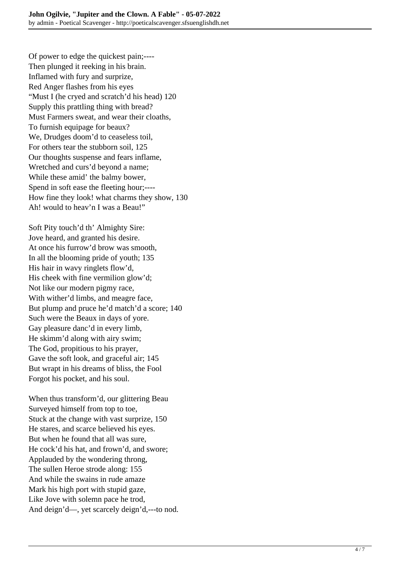Of power to edge the quickest pain;---- Then plunged it reeking in his brain. Inflamed with fury and surprize, Red Anger flashes from his eyes "Must I (he cryed and scratch'd his head) 120 Supply this prattling thing with bread? Must Farmers sweat, and wear their cloaths, To furnish equipage for beaux? We, Drudges doom'd to ceaseless toil, For others tear the stubborn soil, 125 Our thoughts suspense and fears inflame, Wretched and curs'd beyond a name; While these amid' the balmy bower, Spend in soft ease the fleeting hour;---- How fine they look! what charms they show, 130 Ah! would to heav'n I was a Beau!"

Soft Pity touch'd th' Almighty Sire: Jove heard, and granted his desire. At once his furrow'd brow was smooth, In all the blooming pride of youth; 135 His hair in wavy ringlets flow'd, His cheek with fine vermilion glow'd; Not like our modern pigmy race, With wither'd limbs, and meagre face, But plump and pruce he'd match'd a score; 140 Such were the Beaux in days of yore. Gay pleasure danc'd in every limb, He skimm'd along with airy swim; The God, propitious to his prayer, Gave the soft look, and graceful air; 145 But wrapt in his dreams of bliss, the Fool Forgot his pocket, and his soul.

When thus transform'd, our glittering Beau Surveyed himself from top to toe, Stuck at the change with vast surprize, 150 He stares, and scarce believed his eyes. But when he found that all was sure, He cock'd his hat, and frown'd, and swore; Applauded by the wondering throng, The sullen Heroe strode along: 155 And while the swains in rude amaze Mark his high port with stupid gaze, Like Jove with solemn pace he trod, And deign'd—, yet scarcely deign'd,---to nod.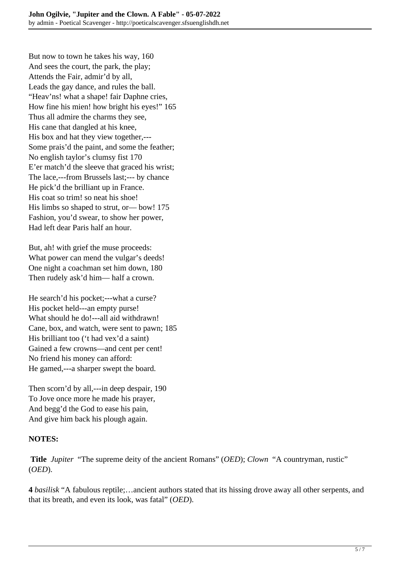But now to town he takes his way, 160 And sees the court, the park, the play; Attends the Fair, admir'd by all, Leads the gay dance, and rules the ball. "Heav'ns! what a shape! fair Daphne cries, How fine his mien! how bright his eyes!" 165 Thus all admire the charms they see, His cane that dangled at his knee, His box and hat they view together,--- Some prais'd the paint, and some the feather; No english taylor's clumsy fist 170 E'er match'd the sleeve that graced his wrist; The lace,---from Brussels last;--- by chance He pick'd the brilliant up in France. His coat so trim! so neat his shoe! His limbs so shaped to strut, or— bow! 175 Fashion, you'd swear, to show her power, Had left dear Paris half an hour.

But, ah! with grief the muse proceeds: What power can mend the vulgar's deeds! One night a coachman set him down, 180 Then rudely ask'd him— half a crown.

He search'd his pocket;---what a curse? His pocket held---an empty purse! What should he do!---all aid withdrawn! Cane, box, and watch, were sent to pawn; 185 His brilliant too ('t had vex'd a saint) Gained a few crowns—and cent per cent! No friend his money can afford: He gamed,---a sharper swept the board.

Then scorn'd by all,---in deep despair, 190 To Jove once more he made his prayer, And begg'd the God to ease his pain, And give him back his plough again.

## **NOTES:**

**Title** *Jupiter* "The supreme deity of the ancient Romans" (*OED*); *Clown* "A countryman, rustic" (*OED*).

**4** *basilisk* "A fabulous reptile;…ancient authors stated that its hissing drove away all other serpents, and that its breath, and even its look, was fatal" (*OED*).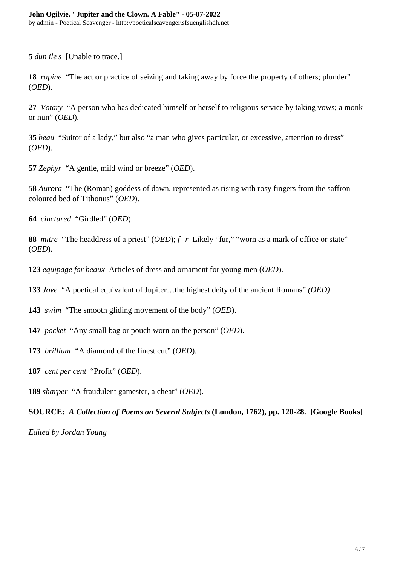**5** *dun ile's* [Unable to trace.]

**18** *rapine* "The act or practice of seizing and taking away by force the property of others; plunder" (*OED*).

**27** *Votary* "A person who has dedicated himself or herself to religious service by taking vows; a monk or nun" (*OED*).

**35** *beau* "Suitor of a lady," but also "a man who gives particular, or excessive, attention to dress" (*OED*).

**57** *Zephyr* "A gentle, mild wind or breeze" (*OED*).

**58** *Aurora* "The (Roman) goddess of dawn, represented as rising with rosy fingers from the saffroncoloured bed of Tithonus" (*OED*).

**64** *cinctured* "Girdled" (*OED*).

**88** *mitre* "The headdress of a priest" (*OED*); *f--r* Likely "fur," "worn as a mark of office or state" (*OED*).

**123** *equipage for beaux* Articles of dress and ornament for young men (*OED*).

**133** *Jove* "A poetical equivalent of Jupiter…the highest deity of the ancient Romans" *(OED)*

**143** *swim* "The smooth gliding movement of the body" (*OED*).

**147** *pocket* "Any small bag or pouch worn on the person" (*OED*).

**173** *brilliant* "A diamond of the finest cut" (*OED*).

**187** *cent per cent* "Profit" (*OED*).

**189** *sharper* "A fraudulent gamester, a cheat" (*OED*).

**SOURCE:** *A Collection of Poems on Several Subjects* **(London, 1762), pp. 120-28. [Google Books]**

*Edited by Jordan Young*